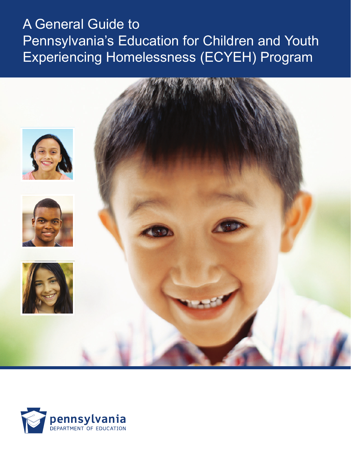# A General Guide to Pennsylvania's Education for Children and Youth Experiencing Homelessness (ECYEH) Program



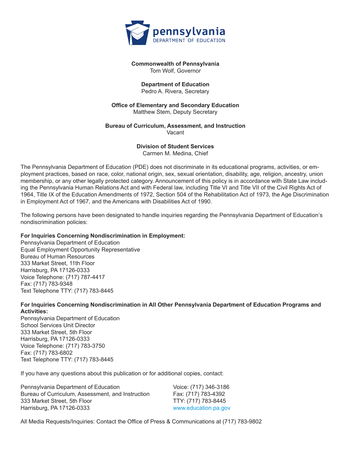

#### **Commonwealth of Pennsylvania** Tom Wolf, Governor

#### **Department of Education**

Pedro A. Rivera, Secretary

#### **Office of Elementary and Secondary Education** Matthew Stem, Deputy Secretary

#### **Bureau of Curriculum, Assessment, and Instruction** Vacant

**Division of Student Services** Carmen M. Medina, Chief

The Pennsylvania Department of Education (PDE) does not discriminate in its educational programs, activities, or employment practices, based on race, color, national origin, sex, sexual orientation, disability, age, religion, ancestry, union membership, or any other legally protected category. Announcement of this policy is in accordance with State Law including the Pennsylvania Human Relations Act and with Federal law, including Title VI and Title VII of the Civil Rights Act of 1964, Title IX of the Education Amendments of 1972, Section 504 of the Rehabilitation Act of 1973, the Age Discrimination in Employment Act of 1967, and the Americans with Disabilities Act of 1990.

The following persons have been designated to handle inquiries regarding the Pennsylvania Department of Education's nondiscrimination policies:

#### **For Inquiries Concerning Nondiscrimination in Employment:**

Pennsylvania Department of Education Equal Employment Opportunity Representative Bureau of Human Resources 333 Market Street, 11th Floor Harrisburg, PA 17126-0333 Voice Telephone: (717) 787-4417 Fax: (717) 783-9348 Text Telephone TTY: (717) 783-8445

#### **For Inquiries Concerning Nondiscrimination in All Other Pennsylvania Department of Education Programs and Activities:**

Pennsylvania Department of Education School Services Unit Director 333 Market Street, 5th Floor Harrisburg, PA 17126-0333 Voice Telephone: (717) 783-3750 Fax: (717) 783-6802 Text Telephone TTY: (717) 783-8445

If you have any questions about this publication or for additional copies, contact:

| Pennsylvania Department of Education              | Voice: (717) 346-3186 |
|---------------------------------------------------|-----------------------|
| Bureau of Curriculum, Assessment, and Instruction | Fax: (717) 783-4392   |
| 333 Market Street, 5th Floor                      | TTY: (717) 783-8445   |
| Harrisburg, PA 17126-0333                         | www.education.pa.gov  |

All Media Requests/Inquiries: Contact the Office of Press & Communications at (717) 783-9802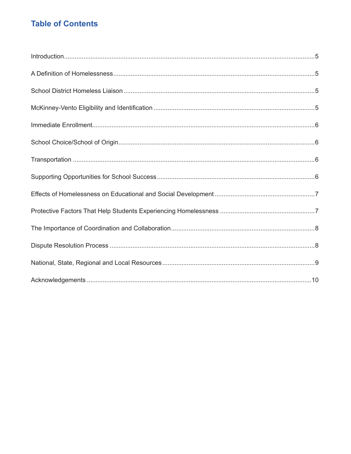# **Table of Contents**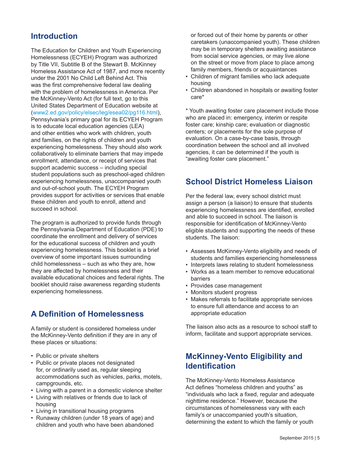### **Introduction**

The Education for Children and Youth Experiencing Homelessness (ECYEH) Program was authorized by Title VII, Subtitle B of the Stewart B. McKinney Homeless Assistance Act of 1987, and more recently under the 2001 No Child Left Behind Act. This was the first comprehensive federal law dealing with the problem of homelessness in America. Per the McKinney-Vento Act (for full text, go to this United States Department of Education website at (www2.ed.gov/policy/elsec/leg/esea02/pg116.html), Pennsylvania's primary goal for its ECYEH Program is to educate local education agencies (LEA) and other entities who work with children, youth and families, on the rights of children and youth experiencing homelessness. They should also work collaboratively to eliminate barriers that may impede enrollment, attendance, or receipt of services that support academic success – including special student populations such as preschool-aged children experiencing homelessness, unaccompanied youth and out-of-school youth. The ECYEH Program provides support for activities or services that enable these children and youth to enroll, attend and succeed in school.

The program is authorized to provide funds through the Pennsylvania Department of Education (PDE) to coordinate the enrollment and delivery of services for the educational success of children and youth experiencing homelessness. This booklet is a brief overview of some important issues surrounding child homelessness – such as who they are, how they are affected by homelessness and their available educational choices and federal rights. The booklet should raise awareness regarding students experiencing homelessness.

#### **A Definition of Homelessness**

A family or student is considered homeless under the McKinney-Vento definition if they are in any of these places or situations:

- Public or private shelters
- Public or private places not designated for, or ordinarily used as, regular sleeping accommodations such as vehicles, parks, motels, campgrounds, etc.
- Living with a parent in a domestic violence shelter
- Living with relatives or friends due to lack of housing
- Living in transitional housing programs
- Runaway children (under 18 years of age) and children and youth who have been abandoned

or forced out of their home by parents or other caretakers (unaccompanied youth). These children may be in temporary shelters awaiting assistance from social service agencies, or may live alone on the street or move from place to place among family members, friends or acquaintances

- Children of migrant families who lack adequate housing
- Children abandoned in hospitals or awaiting foster care\*

\* Youth awaiting foster care placement include those who are placed in: emergency, interim or respite foster care; kinship care; evaluation or diagnostic centers; or placements for the sole purpose of evaluation. On a case-by-case basis, through coordination between the school and all involved agencies, it can be determined if the youth is "awaiting foster care placement."

#### **School District Homeless Liaison**

Per the federal law, every school district must assign a person (a liaison) to ensure that students experiencing homelessness are identified, enrolled and able to succeed in school. The liaison is responsible for identification of McKinney-Vento eligible students and supporting the needs of these students. The liaison:

- Assesses McKinney-Vento eligibility and needs of students and families experiencing homelessness
- Interprets laws relating to student homelessness
- Works as a team member to remove educational barriers
- Provides case management
- Monitors student progress
- Makes referrals to facilitate appropriate services to ensure full attendance and access to an appropriate education

The liaison also acts as a resource to school staff to inform, facilitate and support appropriate services.

### **McKinney-Vento Eligibility and Identification**

The McKinney-Vento Homeless Assistance Act defines "homeless children and youths" as "individuals who lack a fixed, regular and adequate nighttime residence." However, because the circumstances of homelessness vary with each family's or unaccompanied youth's situation, determining the extent to which the family or youth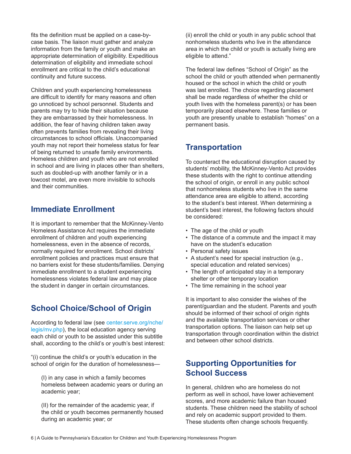fits the definition must be applied on a case-bycase basis. The liaison must gather and analyze information from the family or youth and make an appropriate determination of eligibility. Expeditious determination of eligibility and immediate school enrollment are critical to the child's educational continuity and future success.

Children and youth experiencing homelessness are difficult to identify for many reasons and often go unnoticed by school personnel. Students and parents may try to hide their situation because they are embarrassed by their homelessness. In addition, the fear of having children taken away often prevents families from revealing their living circumstances to school officials. Unaccompanied youth may not report their homeless status for fear of being returned to unsafe family environments. Homeless children and youth who are not enrolled in school and are living in places other than shelters, such as doubled-up with another family or in a lowcost motel, are even more invisible to schools and their communities.

#### **Immediate Enrollment**

It is important to remember that the McKinney-Vento Homeless Assistance Act requires the immediate enrollment of children and youth experiencing homelessness, even in the absence of records, normally required for enrollment. School districts' enrollment policies and practices must ensure that no barriers exist for these students/families. Denying immediate enrollment to a student experiencing homelessness violates federal law and may place the student in danger in certain circumstances.

# **School Choice/School of Origin**

According to federal law (see center.serve.org/nche/ legis/mv.php), the local education agency serving each child or youth to be assisted under this subtitle shall, according to the child's or youth's best interest:

"(i) continue the child's or youth's education in the school of origin for the duration of homelessness—

(I) in any case in which a family becomes homeless between academic years or during an academic year;

(II) for the remainder of the academic year, if the child or youth becomes permanently housed during an academic year; or

(ii) enroll the child or youth in any public school that nonhomeless students who live in the attendance area in which the child or youth is actually living are eligible to attend."

The federal law defines "School of Origin" as the school the child or youth attended when permanently housed or the school in which the child or youth was last enrolled. The choice regarding placement shall be made regardless of whether the child or youth lives with the homeless parent(s) or has been temporarily placed elsewhere. These families or youth are presently unable to establish "homes" on a permanent basis.

### **Transportation**

To counteract the educational disruption caused by students' mobility, the McKinney-Vento Act provides these students with the right to continue attending the school of origin, or enroll in any public school that nonhomeless students who live in the same attendance area are eligible to attend, according to the student's best interest. When determining a student's best interest, the following factors should be considered:

- The age of the child or youth
- The distance of a commute and the impact it may have on the student's education
- Personal safety issues
- A student's need for special instruction (e.g., special education and related services)
- The length of anticipated stay in a temporary shelter or other temporary location
- The time remaining in the school year

It is important to also consider the wishes of the parent/guardian and the student. Parents and youth should be informed of their school of origin rights and the available transportation services or other transportation options. The liaison can help set up transportation through coordination within the district and between other school districts.

# **Supporting Opportunities for School Success**

In general, children who are homeless do not perform as well in school, have lower achievement scores, and more academic failure than housed students. These children need the stability of school and rely on academic support provided to them. These students often change schools frequently.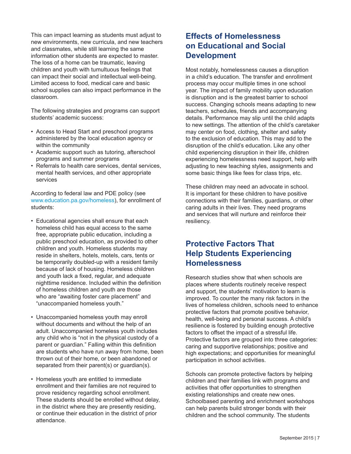This can impact learning as students must adjust to new environments, new curricula, and new teachers and classmates, while still learning the same information other students are expected to master. The loss of a home can be traumatic, leaving children and youth with tumultuous feelings that can impact their social and intellectual well-being. Limited access to food, medical care and basic school supplies can also impact performance in the classroom.

The following strategies and programs can support students' academic success:

- Access to Head Start and preschool programs administered by the local education agency or within the community
- Academic support such as tutoring, afterschool programs and summer programs
- Referrals to health care services, dental services, mental health services, and other appropriate services

According to federal law and PDE policy (see www.education.pa.gov/homeless), for enrollment of students:

- Educational agencies shall ensure that each homeless child has equal access to the same free, appropriate public education, including a public preschool education, as provided to other children and youth. Homeless students may reside in shelters, hotels, motels, cars, tents or be temporarily doubled-up with a resident family because of lack of housing. Homeless children and youth lack a fixed, regular, and adequate nighttime residence. Included within the definition of homeless children and youth are those who are "awaiting foster care placement" and "unaccompanied homeless youth."
- Unaccompanied homeless youth may enroll without documents and without the help of an adult. Unaccompanied homeless youth includes any child who is "not in the physical custody of a parent or guardian." Falling within this definition are students who have run away from home, been thrown out of their home, or been abandoned or separated from their parent(s) or guardian(s).
- Homeless youth are entitled to immediate enrollment and their families are not required to prove residency regarding school enrollment. These students should be enrolled without delay, in the district where they are presently residing, or continue their education in the district of prior attendance.

### **Effects of Homelessness on Educational and Social Development**

Most notably, homelessness causes a disruption in a child's education. The transfer and enrollment process may occur multiple times in one school year. The impact of family mobility upon education is disruption and is the greatest barrier to school success. Changing schools means adapting to new teachers, schedules, friends and accompanying details. Performance may slip until the child adapts to new settings. The attention of the child's caretaker may center on food, clothing, shelter and safety to the exclusion of education. This may add to the disruption of the child's education. Like any other child experiencing disruption in their life, children experiencing homelessness need support, help with adjusting to new teaching styles, assignments and some basic things like fees for class trips, etc.

These children may need an advocate in school. It is important for these children to have positive connections with their families, guardians, or other caring adults in their lives. They need programs and services that will nurture and reinforce their resiliency.

### **Protective Factors That Help Students Experiencing Homelessness**

Research studies show that when schools are places where students routinely receive respect and support, the students' motivation to learn is improved. To counter the many risk factors in the lives of homeless children, schools need to enhance protective factors that promote positive behavior, health, well-being and personal success. A child's resilience is fostered by building enough protective factors to offset the impact of a stressful life. Protective factors are grouped into three categories: caring and supportive relationships; positive and high expectations; and opportunities for meaningful participation in school activities.

Schools can promote protective factors by helping children and their families link with programs and activities that offer opportunities to strengthen existing relationships and create new ones. Schoolbased parenting and enrichment workshops can help parents build stronger bonds with their children and the school community. The students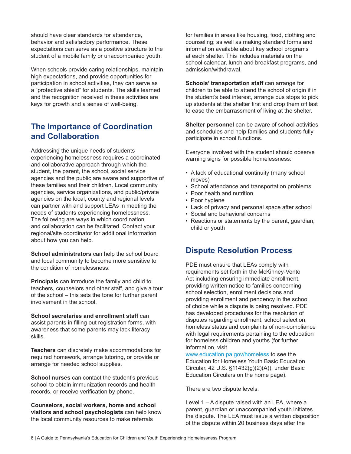should have clear standards for attendance, behavior and satisfactory performance. These expectations can serve as a positive structure to the student of a mobile family or unaccompanied youth.

When schools provide caring relationships, maintain high expectations, and provide opportunities for participation in school activities, they can serve as a "protective shield" for students. The skills learned and the recognition received in these activities are keys for growth and a sense of well-being.

### **The Importance of Coordination and Collaboration**

Addressing the unique needs of students experiencing homelessness requires a coordinated and collaborative approach through which the student, the parent, the school, social service agencies and the public are aware and supportive of these families and their children. Local community agencies, service organizations, and public/private agencies on the local, county and regional levels can partner with and support LEAs in meeting the needs of students experiencing homelessness. The following are ways in which coordination and collaboration can be facilitated. Contact your regional/site coordinator for additional information about how you can help.

**School administrators** can help the school board and local community to become more sensitive to the condition of homelessness.

**Principals** can introduce the family and child to teachers, counselors and other staff, and give a tour of the school – this sets the tone for further parent involvement in the school.

**School secretaries and enrollment staff** can assist parents in filling out registration forms, with awareness that some parents may lack literacy skills.

**Teachers** can discretely make accommodations for required homework, arrange tutoring, or provide or arrange for needed school supplies.

**School nurses** can contact the student's previous school to obtain immunization records and health records, or receive verification by phone.

**Counselors, social workers, home and school visitors and school psychologists** can help know the local community resources to make referrals

for families in areas like housing, food, clothing and counseling; as well as making standard forms and information available about key school programs at each shelter. This includes materials on the school calendar, lunch and breakfast programs, and admission/withdrawal.

**Schools' transportation staff** can arrange for children to be able to attend the school of origin if in the student's best interest, arrange bus stops to pick up students at the shelter first and drop them off last to ease the embarrassment of living at the shelter.

**Shelter personnel** can be aware of school activities and schedules and help families and students fully participate in school functions.

Everyone involved with the student should observe warning signs for possible homelessness:

- A lack of educational continuity (many school moves)
- School attendance and transportation problems
- Poor health and nutrition
- Poor hygiene
- Lack of privacy and personal space after school
- Social and behavioral concerns
- Reactions or statements by the parent, guardian, child or youth

#### **Dispute Resolution Process**

PDE must ensure that LEAs comply with requirements set forth in the McKinney-Vento Act including ensuring immediate enrollment, providing written notice to families concerning school selection, enrollment decisions and providing enrollment and pendency in the school of choice while a dispute is being resolved. PDE has developed procedures for the resolution of disputes regarding enrollment, school selection, homeless status and complaints of non-compliance with legal requirements pertaining to the education for homeless children and youths (for further information, visit

www.education.pa.gov/homeless to see the Education for Homeless Youth Basic Education Circular, 42 U.S. §11432(g)(2)(A)), under Basic Education Circulars on the home page).

There are two dispute levels:

Level 1 – A dispute raised with an LEA, where a parent, guardian or unaccompanied youth initiates the dispute. The LEA must issue a written disposition of the dispute within 20 business days after the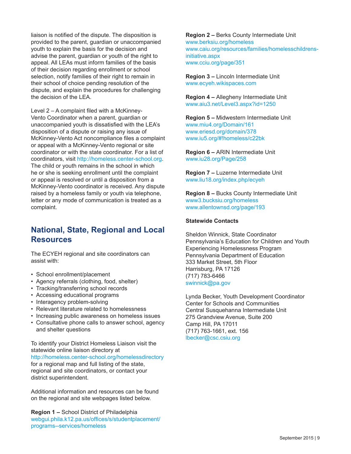liaison is notified of the dispute. The disposition is provided to the parent, guardian or unaccompanied youth to explain the basis for the decision and advise the parent, guardian or youth of the right to appeal. All LEAs must inform families of the basis of their decision regarding enrollment or school selection, notify families of their right to remain in their school of choice pending resolution of the dispute, and explain the procedures for challenging the decision of the LEA.

Level 2 – A complaint filed with a McKinney-Vento Coordinator when a parent, guardian or unaccompanied youth is dissatisfied with the LEA's disposition of a dispute or raising any issue of McKinney-Vento Act noncompliance files a complaint or appeal with a McKinney-Vento regional or site coordinator or with the state coordinator. For a list of coordinators, visit http://homeless.center-school.org. The child or youth remains in the school in which he or she is seeking enrollment until the complaint or appeal is resolved or until a disposition from a McKinney-Vento coordinator is received. Any dispute raised by a homeless family or youth via telephone, letter or any mode of communication is treated as a complaint.

### **National, State, Regional and Local Resources**

The ECYEH regional and site coordinators can assist with:

- School enrollment/placement
- Agency referrals (clothing, food, shelter)
- Tracking/transferring school records
- Accessing educational programs
- Interagency problem-solving
- Relevant literature related to homelessness
- Increasing public awareness on homeless issues
- Consultative phone calls to answer school, agency and shelter questions

To identify your District Homeless Liaison visit the statewide online liaison directory at http://homeless.center-school.org/homelessdirectory for a regional map and full listing of the state, regional and site coordinators, or contact your district superintendent.

Additional information and resources can be found on the regional and site webpages listed below.

**Region 1 –** School District of Philadelphia webgui.phila.k12.pa.us/offices/s/studentplacement/ programs--services/homeless

**Region 2 –** Berks County Intermediate Unit www.berksiu.org/homeless www.caiu.org/resources/families/homelesschildrensinitiative.aspx www.cciu.org/page/351

**Region 3 –** Lincoln Intermediate Unit www.ecyeh.wikispaces.com

**Region 4 –** Allegheny Intermediate Unit www.aiu3.net/Level3.aspx?id=1250

**Region 5 –** Midwestern Intermediate Unit www.miu4.org/Domain/161 www.eriesd.org/domain/378 www.iu5.org/#!homeless/c22bk

**Region 6 –** ARIN Intermediate Unit www.iu28.org/Page/258

**Region 7 –** Luzerne Intermediate Unit www.liu18.org/index.php/ecyeh

**Region 8 –** Bucks County Intermediate Unit www3.bucksiu.org/homeless www.allentownsd.org/page/193

#### **Statewide Contacts**

Sheldon Winnick, State Coordinator Pennsylvania's Education for Children and Youth Experiencing Homelessness Program Pennsylvania Department of Education 333 Market Street, 5th Floor Harrisburg, PA 17126 (717) 783-6466 swinnick@pa.gov

Lynda Becker, Youth Development Coordinator Center for Schools and Communities Central Susquehanna Intermediate Unit 275 Grandview Avenue, Suite 200 Camp Hill, PA 17011 (717) 763-1661, ext. 156 lbecker@csc.csiu.org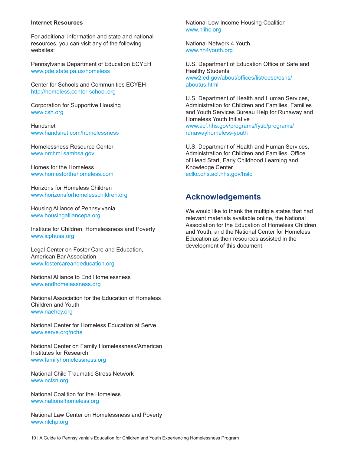#### **Internet Resources**

For additional information and state and national resources, you can visit any of the following websites:

Pennsylvania Department of Education ECYEH www.pde.state.pa.us/homeless

Center for Schools and Communities ECYEH http://homeless.center-school.org

Corporation for Supportive Housing www.csh.org

Handsnet www.handsnet.com/homelessness

Homelessness Resource Center www.nrchmi.samhsa.gov

Homes for the Homeless www.homesforthehomeless.com

Horizons for Homeless Children www.horizonsforhomelesschildren.org

Housing Alliance of Pennsylvania www.housingalliancepa.org

Institute for Children, Homelessness and Poverty www.icphusa.org

Legal Center on Foster Care and Education, American Bar Association www.fostercareandeducation.org

National Alliance to End Homelessness www.endhomelessness.org

National Association for the Education of Homeless Children and Youth www.naehcy.org

National Center for Homeless Education at Serve www.serve.org/nche

National Center on Family Homelessness/American Institutes for Research www.familyhomelessness.org

National Child Traumatic Stress Network www.nctsn.org

National Coalition for the Homeless www.nationalhomeless.org

National Law Center on Homelessness and Poverty www.nlchp.org

National Low Income Housing Coalition www.nlihc.org

National Network 4 Youth www.nn4youth.org

U.S. Department of Education Office of Safe and Healthy Students www2.ed.gov/about/offices/list/oese/oshs/ aboutus.html

U.S. Department of Health and Human Services, Administration for Children and Families, Families and Youth Services Bureau Help for Runaway and Homeless Youth Initiative www.acf.hhs.gov/programs/fysb/programs/ runawayhomeless-youth

U.S. Department of Health and Human Services, Administration for Children and Families, Office of Head Start, Early Childhood Learning and Knowledge Center eclkc.ohs.acf.hhs.gov/hslc

#### **Acknowledgements**

We would like to thank the multiple states that had relevant materials available online, the National Association for the Education of Homeless Children and Youth, and the National Center for Homeless Education as their resources assisted in the development of this document.